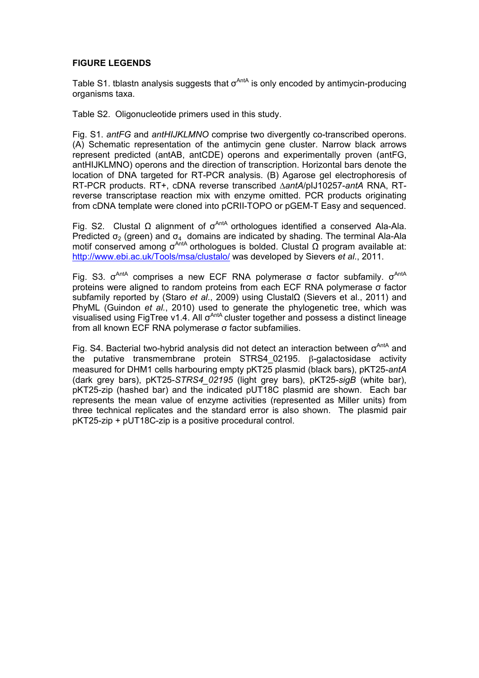#### **FIGURE LEGENDS**

Table S1. tblastn analysis suggests that  $\sigma^{\text{AntA}}$  is only encoded by antimycin-producing organisms taxa.

Table S2. Oligonucleotide primers used in this study.

Fig. S1. *antFG* and *antHIJKLMNO* comprise two divergently co-transcribed operons. (A) Schematic representation of the antimycin gene cluster. Narrow black arrows represent predicted (antAB, antCDE) operons and experimentally proven (antFG, antHIJKLMNO) operons and the direction of transcription. Horizontal bars denote the location of DNA targeted for RT-PCR analysis. (B) Agarose gel electrophoresis of RT-PCR products. RT+, cDNA reverse transcribed ∆*antA*/pIJ10257-*antA* RNA, RTreverse transcriptase reaction mix with enzyme omitted. PCR products originating from cDNA template were cloned into pCRII-TOPO or pGEM-T Easy and sequenced.

Fig. S2. Clustal Ω alignment of  $σ^{AntA}$  orthologues identified a conserved Ala-Ala. Predicted  $\sigma$ <sub>2</sub> (green) and  $\sigma$ <sub>4</sub> domains are indicated by shading. The terminal Ala-Ala motif conserved among  $σ^{An<sup>t</sup>A}$  orthologues is bolded. Clustal  $\Omega$  program available at: http://www.ebi.ac.uk/Tools/msa/clustalo/ was developed by Sievers *et al*., 2011.

Fig. S3.  $σ<sup>AntA</sup>$  comprises a new ECF RNA polymerase  $σ$  factor subfamily.  $σ<sup>AntA</sup>$ proteins were aligned to random proteins from each ECF RNA polymerase σ factor subfamily reported by (Staro *et al*., 2009) using ClustalΩ (Sievers et al., 2011) and PhyML (Guindon *et al.*, 2010) used to generate the phylogenetic tree, which was visualised using FigTree v1.4. All  $\sigma^{\text{AntA}}$  cluster together and possess a distinct lineage from all known ECF RNA polymerase σ factor subfamilies.

Fig. S4. Bacterial two-hybrid analysis did not detect an interaction between  $\sigma^{\text{AntA}}$  and the putative transmembrane protein STRS4\_02195. β-galactosidase activity measured for DHM1 cells harbouring empty pKT25 plasmid (black bars), pKT25-*antA* (dark grey bars), pKT25-*STRS4\_02195* (light grey bars), pKT25-*sigB* (white bar), pKT25-zip (hashed bar) and the indicated pUT18C plasmid are shown. Each bar represents the mean value of enzyme activities (represented as Miller units) from three technical replicates and the standard error is also shown. The plasmid pair pKT25-zip + pUT18C-zip is a positive procedural control.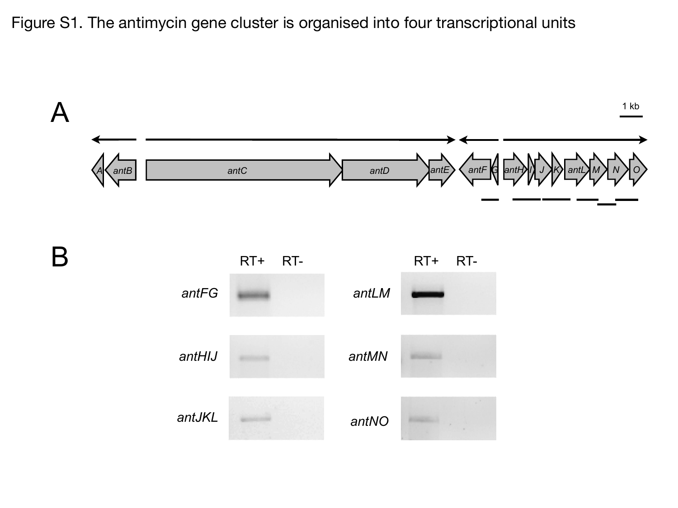Figure S1. The antimycin gene cluster is organised into four transcriptional units

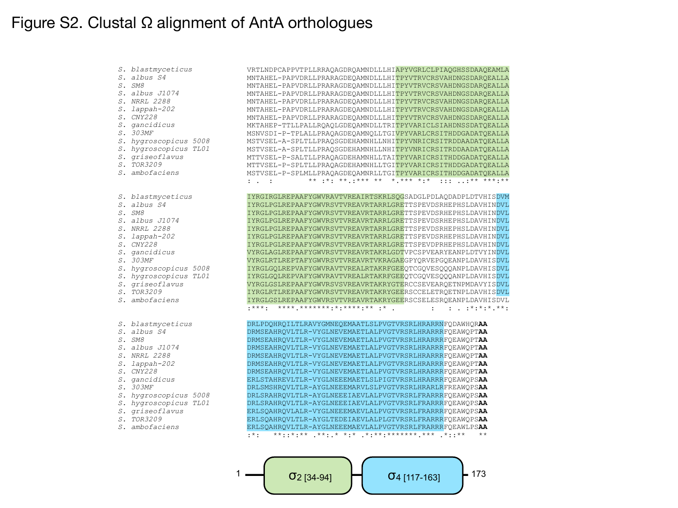### Figure S2. Clustal Ω alignment of AntA orthologues

*S. blastmyceticus S. albus S4 S. SM8 S. albus J1074 S. NRRL 2288 S. lappah-202 S. CNY228 S. gancidicus S. 303MF S. hygroscopicus 5008 S. hygroscopicus TL01 S. griseoflavus S. TOR3209 S. ambofaciens* VRTLNDPCAPPVTPLLRRAQAGDRQAMNDLLLHIAPYVGRLCLPIAQGHSSDAAQEAMLA MNTAHEL-PAPVDRLLPRARAGDEQAMNDLLLHITPYVTRVCRSVAHDNGSDARQEALLA MNTAHEL-PAPVDRLLPRARAGDEQAMNDLLLHITPYVTRVCRSVAHDNGSDARQEALLA MNTAHEL-PAPVDRLLPRARAGDEQAMNDLLLHITPYVTRVCRSVAHDNGSDARQEALLA MNTAHEL-PAPVDRLLPRARAGDEQAMNDLLLHITPYVTRVCRSVAHDNGSDARQEALLA MNTAHEL-PAPVDRLLPRARAGDEQAMNDLLLHITPYVTRVCRSVAHDNGSDARQEALLA MNTAHEL-PAPVDRLLPRARAGDEQAMNDLLLHITPYVTRVCRSVAHDNGSDARQEALLA MKTAHEP-TTLLPALLRQAQLGDEQAMNDLLTRITPYVARICLSIAHDNSSDATQEALLA MSNVSDI-P-TPLALLPRAQAGDEQAMNQLLTGIVPYVARLCRSITHDDGADATQEALLA MSTVSEL-A-SPLTLLPRAQSGDEHAMNHLLNHITPYVNRICRSITRDDAADATQEALLA MSTVSEL-A-SPLTLLPRAQSGDEHAMNHLLNHITPYVNRICRSITRDDAADATQEALLA MTTVSEL-P-SALTLLPRAQAGDEHAMNHLLTAITPYVARICRSITHDDGADATQEALLA MTTVSEL-P-SPLTLLPRAQAGDEHAMNHLLTGITPYVARICRSITHDDGADATQEALLA MSTVSEL-P-SPLMLLPRAQAGDEQAMNRLLTGITPYVARICRSITHDDGADATQEALLA : . : . \*\* .\*\* .\*\* .\*\*\* \*\* \*.\*\* \*.\* .:: ..\*\* \*\*\*.\*\* IYRGIRGLREPAAFYGWVRAVTVREAIRTSKRLSQGSADGLPDLAQDADPLDTVHISDVM IYRGLPGLREPAAFYGWVRSVTVREAVRTARRLGRETTSPEVDSRHEPHSLDAVHINDVL IYRGLPGLREPAAFYGWVRSVTVREAVRTARRLGRETTSPEVDSRHEPHSLDAVHINDVL IYRGLPGLREPAAFYGWVRSVTVREAVRTARRLGRETTSPEVDSRHEPHSLDAVHINDVL IYRGLPGLREPAAFYGWVRSVTVREAVRTARRLGRETTSPEVDSRHEPHSLDAVHINDVL IYRGLPGLREPAAFYGWVRSVTVREAVRTARRLGRETTSPEVDSRHEPHSLDAVHINDVL IYRGLPGLREPAAFYGWVRSVTVREAVRTARRLGRETTSPEVDPRHEPHSLDAVHINDVL VYRGLAGLREPAAFYGWVRSVTVREAVRTAKRLGDTVPCSPVEARYEANPLDTVYINDVL VYRGLRTLREPTAFYGWVRSVTVREAVRTVKRAGAEGPYQRVEPGQEANPLDAVHISDVL IYRGLGQLREPVAFYGWVRAVTVREALRTAKRFGEEQTCGQVESQQQANPLDAVHISDVL IYRGLGQLREPVAFYGWVRAVTVREALRTAKRFGEEQTCGQVESQQQANPLDAVHISDVL VYRGLGSLREPAAFYGWVRSVSVREAVRTAKRYGTERCCSEVEARQETNPMDAVYISDVL IYRGLRTLREPAAFYGWVRSVTVREAVRTAKRYGEERSCCELETRQETNPLDAVHISDVL IYRGLGSLREPAAFYGWVRSVTVREAVRTAKRYGEERSCSELESRQEANPLDAVHISDVL :\*\*\*: \*\*\*\*.\*\*\*\*\*\*\*:\*:\*\*\*\*:\*\* :\* . : : . :\*:\*:\*.\*\*: DRLPDQHRQILTLRAVYGMNEQEMAATLSLPVGTVRSRLHRARRNFQDAWHQR**AA** DRMSEAHRQVLTLR-VYGLNEVEMAETLALPVGTVRSRLHRARRRFQEAWQPT**AA** DRMSEAHRQVLTLR-VYGLNEVEMAETLALPVGTVRSRLHRARRRFQEAWQPT**AA** DRMSEAHRQVLTLR-VYGLNEVEMAETLALPVGTVRSRLHRARRRFQEAWQPT**AA** DRMSEAHRQVLTLR-VYGLNEVEMAETLALPVGTVRSRLHRARRRFQEAWQPT**AA** DRMSEAHRQVLTLR-VYGLNEVEMAETLALPVGTVRSRLHRARRRFQEAWQPT**AA** DRMSEAHRQVLTLR-VYGLNEVEMAETLALPVGTVRSRLHRARRRFQEAWQPT**AA** ERLSTAHREVLTLR-VYGLNEEEMAETLSLPIGTVRSRLHRARRRFQEAWQPS**AA** DRLSMSHRQVLTLR-AYGLNEEEMARVLSLPVGTVRSRLHRARLRFREAWQPS**AA** DRLSRAHRQVLTLR-AYGLNEEEIAEVLALPVGTVRSRLFRARRRFQEAWQPS**AA** DRLSRAHRQVLTLR-AYGLNEEEIAEVLALPVGTVRSRLFRARRRFQEAWQPS**AA** ERLSQAHRQVLALR-VYGLNEEEMAEVLALPVGTVRSRLFRARRRFQEAWQPS**AA** ERLSQAHRQVLTLR-AYGLTEDEIAEVLALPLGTVRSRLFRARRRFQEAWQPS**AA** ERLSQAHRQVLTLR-AYGLNEEEMAEVLALPVGTVRSRLFRARRRFQEAWLPS**AA** :\*: \*\*::\*\*\* .\*\*:.\* \*:\* \*:\*\*\*\*\*\*\*\*\*\*\*\*\* \*::\* *S. blastmyceticus S. albus S4 S. SM8 S. albus J1074 S. NRRL 2288 S. lappah-202 S. CNY228 S. gancidicus S. 303MF S. hygroscopicus 5008 S. hygroscopicus TL01 S. griseoflavus S. TOR3209 S. ambofaciens S. blastmyceticus S. albus S4 S. SM8 S. albus J1074 S. NRRL 2288 S. lappah-202 S. CNY228 S. gancidicus S. 303MF S. hygroscopicus 5008 S. hygroscopicus TL01 S. griseoflavus S. TOR3209 S. ambofaciens*

 $\sigma$ <sub>2</sub> [34-94]  $\Box$   $\Box$   $\sigma$ <sub>1</sub> [117-163]  $\Box$  173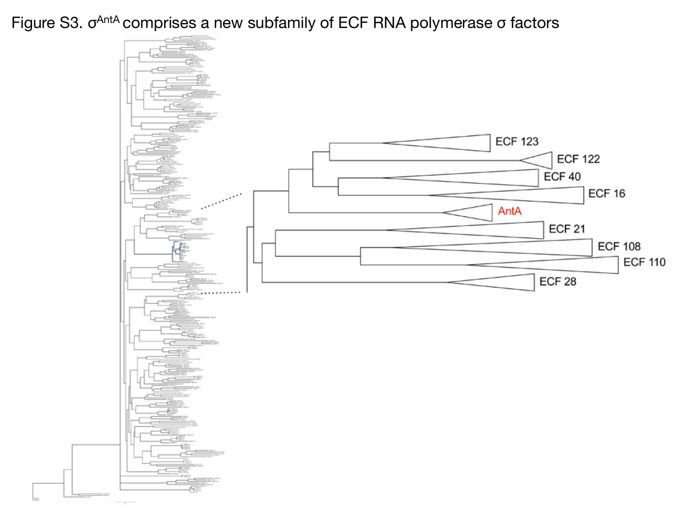Figure S3. σ<sup>AntA</sup> comprises a new subfamily of ECF RNA polymerase σ factors

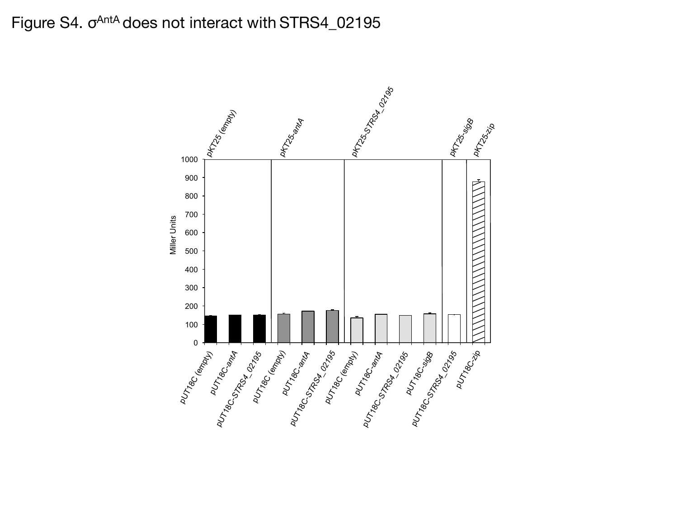## Figure S4. σ<sup>AntA</sup> does not interact with STRS4\_02195

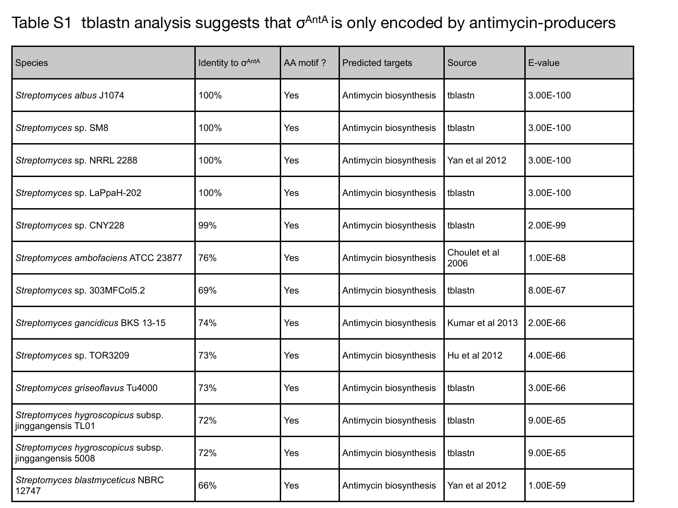# Table S1 tblastn analysis suggests that  $\sigma^{AntA}$  is only encoded by antimycin-producers

| Species                                                 | Identity to $\sigma^{\text{AntA}}$ | AA motif? | <b>Predicted targets</b> | Source                | E-value   |
|---------------------------------------------------------|------------------------------------|-----------|--------------------------|-----------------------|-----------|
| Streptomyces albus J1074                                | 100%                               | Yes       | Antimycin biosynthesis   | tblastn               | 3.00E-100 |
| Streptomyces sp. SM8                                    | 100%                               | Yes       | Antimycin biosynthesis   | tblastn               | 3.00E-100 |
| Streptomyces sp. NRRL 2288                              | 100%                               | Yes       | Antimycin biosynthesis   | Yan et al 2012        | 3.00E-100 |
| Streptomyces sp. LaPpaH-202                             | 100%                               | Yes       | Antimycin biosynthesis   | tblastn               | 3.00E-100 |
| Streptomyces sp. CNY228                                 | 99%                                | Yes       | Antimycin biosynthesis   | tblastn               | 2.00E-99  |
| Streptomyces ambofaciens ATCC 23877                     | 76%                                | Yes       | Antimycin biosynthesis   | Choulet et al<br>2006 | 1.00E-68  |
| Streptomyces sp. 303MFCol5.2                            | 69%                                | Yes       | Antimycin biosynthesis   | tblastn               | 8.00E-67  |
| Streptomyces gancidicus BKS 13-15                       | 74%                                | Yes       | Antimycin biosynthesis   | Kumar et al 2013      | 2.00E-66  |
| Streptomyces sp. TOR3209                                | 73%                                | Yes       | Antimycin biosynthesis   | Hu et al 2012         | 4.00E-66  |
| Streptomyces griseoflavus Tu4000                        | 73%                                | Yes       | Antimycin biosynthesis   | tblastn               | 3.00E-66  |
| Streptomyces hygroscopicus subsp.<br>jinggangensis TL01 | 72%                                | Yes       | Antimycin biosynthesis   | tblastn               | 9.00E-65  |
| Streptomyces hygroscopicus subsp.<br>jinggangensis 5008 | 72%                                | Yes       | Antimycin biosynthesis   | tblastn               | 9.00E-65  |
| Streptomyces blastmyceticus NBRC<br>12747               | 66%                                | Yes       | Antimycin biosynthesis   | Yan et al 2012        | 1.00E-59  |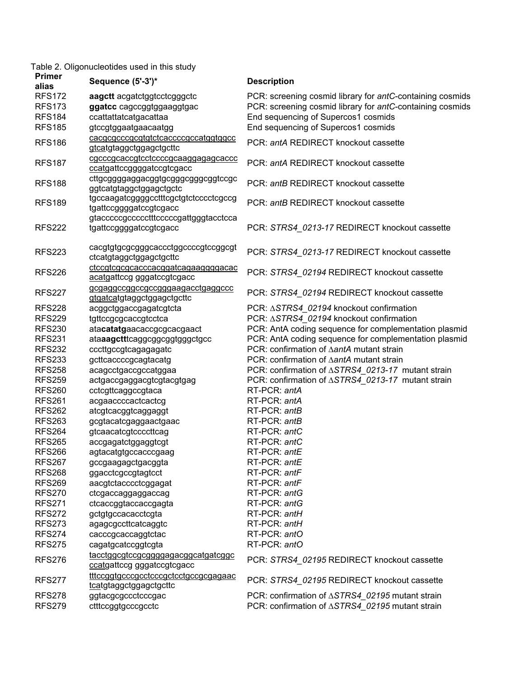### Table 2. Oligonucleotides used in this study

| <b>Primer</b><br>alias | Sequence (5'-3')*                                                 | <b>Description</b>                                        |
|------------------------|-------------------------------------------------------------------|-----------------------------------------------------------|
| <b>RFS172</b>          | aagett acgatetggtcctcgggctc                                       | PCR: screening cosmid library for antC-containing cosmids |
| <b>RFS173</b>          | ggatcc cagccggtggaaggtgac                                         | PCR: screening cosmid library for antC-containing cosmids |
| <b>RFS184</b>          | ccattattatcatgacattaa                                             | End sequencing of Supercos1 cosmids                       |
| <b>RFS185</b>          | gtccgtggaatgaacaatgg                                              | End sequencing of Supercos1 cosmids                       |
|                        | cacgcgcccgcgtgtctcaccccgccatggtggcc                               |                                                           |
| <b>RFS186</b>          | gtcatgtaggctggagctgcttc                                           | PCR: antA REDIRECT knockout cassette                      |
|                        | cgcccgcaccgtcctccccgcaaggagagcaccc                                |                                                           |
| <b>RFS187</b>          | ccatgattccggggatccgtcgacc                                         | PCR: antA REDIRECT knockout cassette                      |
| <b>RFS188</b>          | cttgcggggaggacggtgcgggcgggcggtccgc<br>ggtcatgtaggctggagctgctc     | PCR: antB REDIRECT knockout cassette                      |
|                        | tgccaagatcggggcctttcgctgtctcccctcgccg                             |                                                           |
| <b>RFS189</b>          | tgattccggggatccgtcgacc                                            | PCR: antB REDIRECT knockout cassette                      |
|                        | gtacccccgccccctttcccccgattgggtacctcca                             |                                                           |
| <b>RFS222</b>          | tgattccggggatccgtcgacc                                            | PCR: STRS4_0213-17 REDIRECT knockout cassette             |
|                        |                                                                   |                                                           |
| <b>RFS223</b>          | cacgtgtgcgcgggcaccctggccccgtccggcgt<br>ctcatgtaggctggagctgcttc    | PCR: STRS4_0213-17 REDIRECT knockout cassette             |
| <b>RFS226</b>          | ctccgtcgcgcacccacggatcagaaggggacac<br>acatgattccg gggatccgtcgacc  | PCR: STRS4_02194 REDIRECT knockout cassette               |
| <b>RFS227</b>          | gcgaggccggccgccgggaagacctgaggccc<br>gtgatcatgtaggctggagctgcttc    | PCR: STRS4_02194 REDIRECT knockout cassette               |
| <b>RFS228</b>          | acggctggaccgagatcgtcta                                            | PCR: $\triangle STRS4_02194$ knockout confirmation        |
| <b>RFS229</b>          | tgttccgcgcaccgtcctca                                              | PCR: $\triangle STRS4$ 02194 knockout confirmation        |
| <b>RFS230</b>          | atacatatgaacaccgcgcacgaact                                        | PCR: AntA coding sequence for complementation plasmid     |
| <b>RFS231</b>          | ataaagctttcaggcggcggtgggctgcc                                     | PCR: AntA coding sequence for complementation plasmid     |
| <b>RFS232</b>          | cccttgccgtcagagagatc                                              | PCR: confirmation of AantA mutant strain                  |
| <b>RFS233</b>          | gcttcaccccgcagtacatg                                              | PCR: confirmation of AantA mutant strain                  |
| <b>RFS258</b>          | acagcctgaccgccatggaa                                              | PCR: confirmation of ∆STRS4_0213-17 mutant strain         |
| <b>RFS259</b>          | actgaccgaggacgtcgtacgtgag                                         | PCR: confirmation of ASTRS4_0213-17 mutant strain         |
| <b>RFS260</b>          | cctcgttcaggccgtaca                                                | RT-PCR: antA                                              |
| <b>RFS261</b>          | acgaaccccactcactcg                                                | RT-PCR: antA                                              |
| <b>RFS262</b>          | atcgtcacggtcaggaggt                                               | RT-PCR: antB                                              |
| <b>RFS263</b>          | gcgtacatcgaggaactgaac                                             | RT-PCR: antB                                              |
| <b>RFS264</b>          | gtcaacatcgtccccttcag                                              | RT-PCR: antC                                              |
| <b>RFS265</b>          | accgagatctggaggtcgt                                               | RT-PCR: antC                                              |
| <b>RFS266</b>          | agtacatgtgccacccgaag                                              | RT-PCR: antE                                              |
| <b>RFS267</b>          | gccgaagagctgacggta                                                | RT-PCR: antE                                              |
| <b>RFS268</b>          | ggacctcgccgtagtcct                                                | RT-PCR: antF                                              |
| <b>RFS269</b>          | aacgtctacccctcggagat                                              | RT-PCR: antF                                              |
| <b>RFS270</b>          | ctcgaccaggaggaccag                                                | RT-PCR: antG                                              |
| <b>RFS271</b>          | ctcaccggtaccaccgagta                                              | RT-PCR: antG                                              |
| <b>RFS272</b>          | gctgtgccacacctcgta                                                | RT-PCR: antH                                              |
| <b>RFS273</b>          | agagcgccttcatcaggtc                                               | RT-PCR: antH                                              |
| <b>RFS274</b>          | cacccgcaccaggtctac                                                | RT-PCR: antO                                              |
| <b>RFS275</b>          | cagatgcatccggtcgta                                                | RT-PCR: antO                                              |
|                        |                                                                   |                                                           |
| <b>RFS276</b>          | tacctggcgtccgcgggggagacggcatgatcggc<br>ccatgattccg gggatccgtcgacc | PCR: STRS4_02195 REDIRECT knockout cassette               |
| <b>RFS277</b>          | tttccggtgcccgcctcccgctcctgccgcgagaac<br>tcatgtaggctggagctgcttc    | PCR: STRS4_02195 REDIRECT knockout cassette               |
| <b>RFS278</b>          | ggtacgcgccctcccgac                                                | PCR: confirmation of ∆STRS4 02195 mutant strain           |
| <b>RFS279</b>          | ctttccggtgcccgcctc                                                | PCR: confirmation of ASTRS4_02195 mutant strain           |